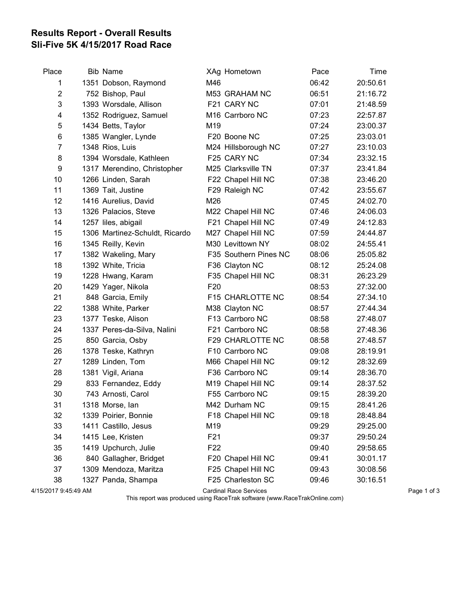## Results Report - Overall Results Sli-Five 5K 4/15/2017 Road Race

| Place          | <b>Bib Name</b>                |                 | XAg Hometown          | Pace  | Time     |
|----------------|--------------------------------|-----------------|-----------------------|-------|----------|
| 1              | 1351 Dobson, Raymond           | M46             |                       | 06:42 | 20:50.61 |
| $\overline{c}$ | 752 Bishop, Paul               |                 | M53 GRAHAM NC         | 06:51 | 21:16.72 |
| 3              | 1393 Worsdale, Allison         |                 | F21 CARY NC           | 07:01 | 21:48.59 |
| 4              | 1352 Rodriguez, Samuel         |                 | M16 Carrboro NC       | 07:23 | 22:57.87 |
| 5              | 1434 Betts, Taylor             | M19             |                       | 07:24 | 23:00.37 |
| 6              | 1385 Wangler, Lynde            |                 | F20 Boone NC          | 07:25 | 23:03.01 |
| 7              | 1348 Rios, Luis                |                 | M24 Hillsborough NC   | 07:27 | 23:10.03 |
| 8              | 1394 Worsdale, Kathleen        |                 | F25 CARY NC           | 07:34 | 23:32.15 |
| 9              | 1317 Merendino, Christopher    |                 | M25 Clarksville TN    | 07:37 | 23:41.84 |
| 10             | 1266 Linden, Sarah             |                 | F22 Chapel Hill NC    | 07:38 | 23:46.20 |
| 11             | 1369 Tait, Justine             |                 | F29 Raleigh NC        | 07:42 | 23:55.67 |
| 12             | 1416 Aurelius, David           | M26             |                       | 07:45 | 24:02.70 |
| 13             | 1326 Palacios, Steve           |                 | M22 Chapel Hill NC    | 07:46 | 24:06.03 |
| 14             | 1257 liles, abigail            |                 | F21 Chapel Hill NC    | 07:49 | 24:12.83 |
| 15             | 1306 Martinez-Schuldt, Ricardo |                 | M27 Chapel Hill NC    | 07:59 | 24:44.87 |
| 16             | 1345 Reilly, Kevin             |                 | M30 Levittown NY      | 08:02 | 24:55.41 |
| 17             | 1382 Wakeling, Mary            |                 | F35 Southern Pines NC | 08:06 | 25:05.82 |
| 18             | 1392 White, Tricia             |                 | F36 Clayton NC        | 08:12 | 25:24.08 |
| 19             | 1228 Hwang, Karam              |                 | F35 Chapel Hill NC    | 08:31 | 26:23.29 |
| 20             | 1429 Yager, Nikola             | F <sub>20</sub> |                       | 08:53 | 27:32.00 |
| 21             | 848 Garcia, Emily              |                 | F15 CHARLOTTE NC      | 08:54 | 27:34.10 |
| 22             | 1388 White, Parker             |                 | M38 Clayton NC        | 08:57 | 27:44.34 |
| 23             | 1377 Teske, Alison             |                 | F13 Carrboro NC       | 08:58 | 27:48.07 |
| 24             | 1337 Peres-da-Silva, Nalini    |                 | F21 Carrboro NC       | 08:58 | 27:48.36 |
| 25             | 850 Garcia, Osby               |                 | F29 CHARLOTTE NC      | 08:58 | 27:48.57 |
| 26             | 1378 Teske, Kathryn            |                 | F10 Carrboro NC       | 09:08 | 28:19.91 |
| 27             | 1289 Linden, Tom               |                 | M66 Chapel Hill NC    | 09:12 | 28:32.69 |
| 28             | 1381 Vigil, Ariana             |                 | F36 Carrboro NC       | 09:14 | 28:36.70 |
| 29             | 833 Fernandez, Eddy            |                 | M19 Chapel Hill NC    | 09:14 | 28:37.52 |
| 30             | 743 Arnosti, Carol             |                 | F55 Carrboro NC       | 09:15 | 28:39.20 |
| 31             | 1318 Morse, lan                |                 | M42 Durham NC         | 09:15 | 28:41.26 |
| 32             | 1339 Poirier, Bonnie           |                 | F18 Chapel Hill NC    | 09:18 | 28:48.84 |
| 33             | 1411 Castillo, Jesus           | M19             |                       | 09:29 | 29:25.00 |
| 34             | 1415 Lee, Kristen              | F21             |                       | 09:37 | 29:50.24 |
| 35             | 1419 Upchurch, Julie           | F <sub>22</sub> |                       | 09:40 | 29:58.65 |
| 36             | 840 Gallagher, Bridget         |                 | F20 Chapel Hill NC    | 09:41 | 30:01.17 |
| 37             | 1309 Mendoza, Maritza          |                 | F25 Chapel Hill NC    | 09:43 | 30:08.56 |
| 38             | 1327 Panda, Shampa             |                 | F25 Charleston SC     | 09:46 | 30:16.51 |
|                |                                |                 |                       |       |          |

4/15/2017 9:45:49 AM Cardinal Race Services Page 1 of 3

This report was produced using RaceTrak software (www.RaceTrakOnline.com)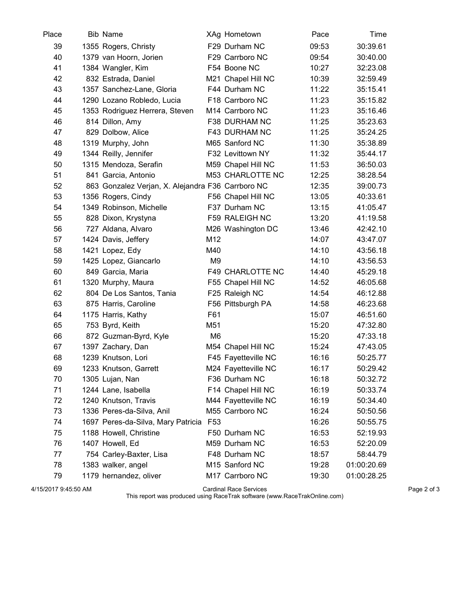| Place | <b>Bib Name</b>                                   |                | XAg Hometown            | Pace  | Time        |
|-------|---------------------------------------------------|----------------|-------------------------|-------|-------------|
| 39    | 1355 Rogers, Christy                              |                | F29 Durham NC           | 09:53 | 30:39.61    |
| 40    | 1379 van Hoorn, Jorien                            |                | F29 Carrboro NC         | 09:54 | 30:40.00    |
| 41    | 1384 Wangler, Kim                                 |                | F54 Boone NC            | 10:27 | 32:23.08    |
| 42    | 832 Estrada, Daniel                               |                | M21 Chapel Hill NC      | 10:39 | 32:59.49    |
| 43    | 1357 Sanchez-Lane, Gloria                         |                | F44 Durham NC           | 11:22 | 35:15.41    |
| 44    | 1290 Lozano Robledo, Lucia                        |                | F18 Carrboro NC         | 11:23 | 35:15.82    |
| 45    | 1353 Rodriguez Herrera, Steven                    |                | M14 Carrboro NC         | 11:23 | 35:16.46    |
| 46    | 814 Dillon, Amy                                   |                | F38 DURHAM NC           | 11:25 | 35:23.63    |
| 47    | 829 Dolbow, Alice                                 |                | F43 DURHAM NC           | 11:25 | 35:24.25    |
| 48    | 1319 Murphy, John                                 |                | M65 Sanford NC          | 11:30 | 35:38.89    |
| 49    | 1344 Reilly, Jennifer                             |                | F32 Levittown NY        | 11:32 | 35:44.17    |
| 50    | 1315 Mendoza, Serafin                             |                | M59 Chapel Hill NC      | 11:53 | 36:50.03    |
| 51    | 841 Garcia, Antonio                               |                | M53 CHARLOTTE NC        | 12:25 | 38:28.54    |
| 52    | 863 Gonzalez Verjan, X. Alejandra F36 Carrboro NC |                |                         | 12:35 | 39:00.73    |
| 53    | 1356 Rogers, Cindy                                |                | F56 Chapel Hill NC      | 13:05 | 40:33.61    |
| 54    | 1349 Robinson, Michelle                           |                | F37 Durham NC           | 13:15 | 41:05.47    |
| 55    | 828 Dixon, Krystyna                               |                | F59 RALEIGH NC          | 13:20 | 41:19.58    |
| 56    | 727 Aldana, Alvaro                                |                | M26 Washington DC       | 13:46 | 42:42.10    |
| 57    | 1424 Davis, Jeffery                               | M12            |                         | 14:07 | 43:47.07    |
| 58    | 1421 Lopez, Edy                                   | M40            |                         | 14:10 | 43:56.18    |
| 59    | 1425 Lopez, Giancarlo                             | M <sub>9</sub> |                         | 14:10 | 43:56.53    |
| 60    | 849 Garcia, Maria                                 |                | <b>F49 CHARLOTTE NC</b> | 14:40 | 45:29.18    |
| 61    | 1320 Murphy, Maura                                |                | F55 Chapel Hill NC      | 14:52 | 46:05.68    |
| 62    | 804 De Los Santos, Tania                          |                | F25 Raleigh NC          | 14:54 | 46:12.88    |
| 63    | 875 Harris, Caroline                              |                | F56 Pittsburgh PA       | 14:58 | 46:23.68    |
| 64    | 1175 Harris, Kathy                                | F61            |                         | 15:07 | 46:51.60    |
| 65    | 753 Byrd, Keith                                   | M51            |                         | 15:20 | 47:32.80    |
| 66    | 872 Guzman-Byrd, Kyle                             | M <sub>6</sub> |                         | 15:20 | 47:33.18    |
| 67    | 1397 Zachary, Dan                                 |                | M54 Chapel Hill NC      | 15:24 | 47:43.05    |
| 68    | 1239 Knutson, Lori                                |                | F45 Fayetteville NC     | 16:16 | 50:25.77    |
| 69    | 1233 Knutson, Garrett                             |                | M24 Fayetteville NC     | 16:17 | 50:29.42    |
| 70    | 1305 Lujan, Nan                                   |                | F36 Durham NC           | 16:18 | 50:32.72    |
| 71    | 1244 Lane, Isabella                               |                | F14 Chapel Hill NC      | 16:19 | 50:33.74    |
| 72    | 1240 Knutson, Travis                              |                | M44 Fayetteville NC     | 16:19 | 50:34.40    |
| 73    | 1336 Peres-da-Silva, Anil                         |                | M55 Carrboro NC         | 16:24 | 50:50.56    |
| 74    | 1697 Peres-da-Silva, Mary Patricia F53            |                |                         | 16:26 | 50:55.75    |
| 75    | 1188 Howell, Christine                            |                | F50 Durham NC           | 16:53 | 52:19.93    |
| 76    | 1407 Howell, Ed                                   |                | M59 Durham NC           | 16:53 | 52:20.09    |
| 77    | 754 Carley-Baxter, Lisa                           |                | F48 Durham NC           | 18:57 | 58:44.79    |
| 78    | 1383 walker, angel                                |                | M15 Sanford NC          | 19:28 | 01:00:20.69 |
| 79    | 1179 hernandez, oliver                            |                | M17 Carrboro NC         | 19:30 | 01:00:28.25 |

4/15/2017 9:45:50 AM Cardinal Race Services Page 2 of 3

This report was produced using RaceTrak software (www.RaceTrakOnline.com)